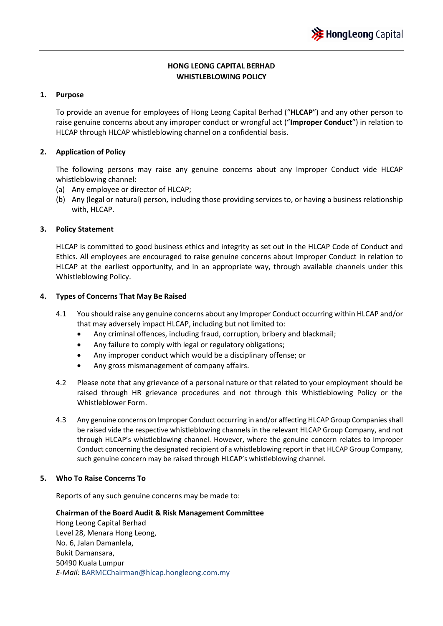# **HONG LEONG CAPITAL BERHAD WHISTLEBLOWING POLICY**

## **1. Purpose**

To provide an avenue for employees of Hong Leong Capital Berhad ("**HLCAP**") and any other person to raise genuine concerns about any improper conduct or wrongful act ("**Improper Conduct**") in relation to HLCAP through HLCAP whistleblowing channel on a confidential basis.

## **2. Application of Policy**

The following persons may raise any genuine concerns about any Improper Conduct vide HLCAP whistleblowing channel:

- (a) Any employee or director of HLCAP;
- (b) Any (legal or natural) person, including those providing services to, or having a business relationship with, HLCAP.

#### **3. Policy Statement**

HLCAP is committed to good business ethics and integrity as set out in the HLCAP Code of Conduct and Ethics. All employees are encouraged to raise genuine concerns about Improper Conduct in relation to HLCAP at the earliest opportunity, and in an appropriate way, through available channels under this Whistleblowing Policy.

#### **4. Types of Concerns That May Be Raised**

- 4.1 You should raise any genuine concerns about any Improper Conduct occurring within HLCAP and/or that may adversely impact HLCAP, including but not limited to:
	- Any criminal offences, including fraud, corruption, bribery and blackmail;
	- Any failure to comply with legal or regulatory obligations;
	- Any improper conduct which would be a disciplinary offense; or
	- Any gross mismanagement of company affairs.
- 4.2 Please note that any grievance of a personal nature or that related to your employment should be raised through HR grievance procedures and not through this Whistleblowing Policy or the Whistleblower Form.
- 4.3 Any genuine concerns on Improper Conduct occurring in and/or affecting HLCAP Group Companies shall be raised vide the respective whistleblowing channels in the relevant HLCAP Group Company, and not through HLCAP's whistleblowing channel. However, where the genuine concern relates to Improper Conduct concerning the designated recipient of a whistleblowing report in that HLCAP Group Company, such genuine concern may be raised through HLCAP's whistleblowing channel.

#### **5. Who To Raise Concerns To**

Reports of any such genuine concerns may be made to:

**Chairman of the Board Audit & Risk Management Committee**  Hong Leong Capital Berhad Level 28, Menara Hong Leong, No. 6, Jalan Damanlela, Bukit Damansara, 50490 Kuala Lumpur *E-Mail:* BARMCChairman@hlcap.hongleong.com.my